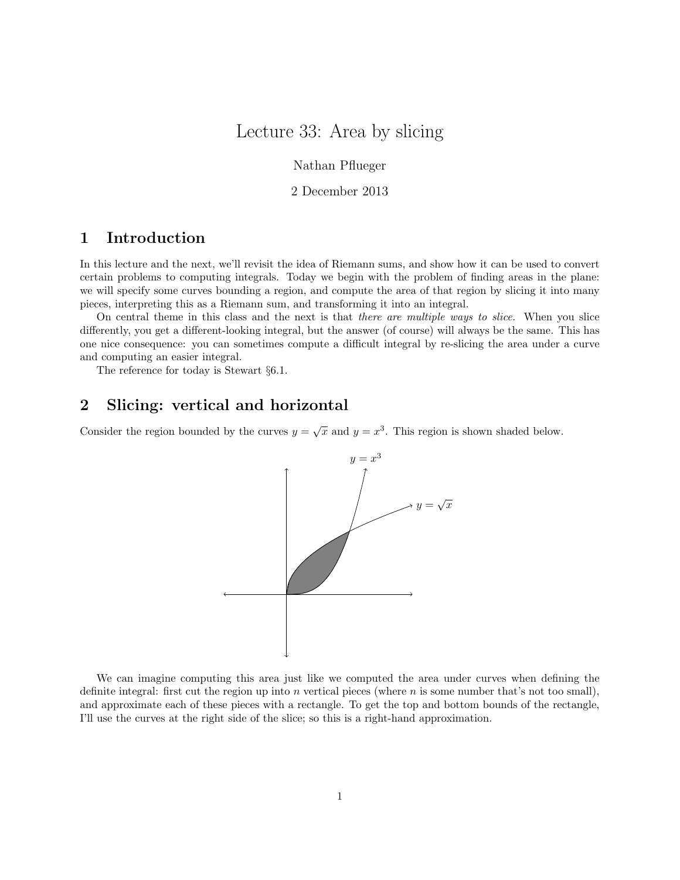# Lecture 33: Area by slicing

Nathan Pflueger

2 December 2013

### 1 Introduction

In this lecture and the next, we'll revisit the idea of Riemann sums, and show how it can be used to convert certain problems to computing integrals. Today we begin with the problem of finding areas in the plane: we will specify some curves bounding a region, and compute the area of that region by slicing it into many pieces, interpreting this as a Riemann sum, and transforming it into an integral.

On central theme in this class and the next is that there are multiple ways to slice. When you slice differently, you get a different-looking integral, but the answer (of course) will always be the same. This has one nice consequence: you can sometimes compute a difficult integral by re-slicing the area under a curve and computing an easier integral.

The reference for today is Stewart §6.1.

### 2 Slicing: vertical and horizontal

Consider the region bounded by the curves  $y = \sqrt{x}$  and  $y = x^3$ . This region is shown shaded below.



We can imagine computing this area just like we computed the area under curves when defining the definite integral: first cut the region up into n vertical pieces (where n is some number that's not too small), and approximate each of these pieces with a rectangle. To get the top and bottom bounds of the rectangle, I'll use the curves at the right side of the slice; so this is a right-hand approximation.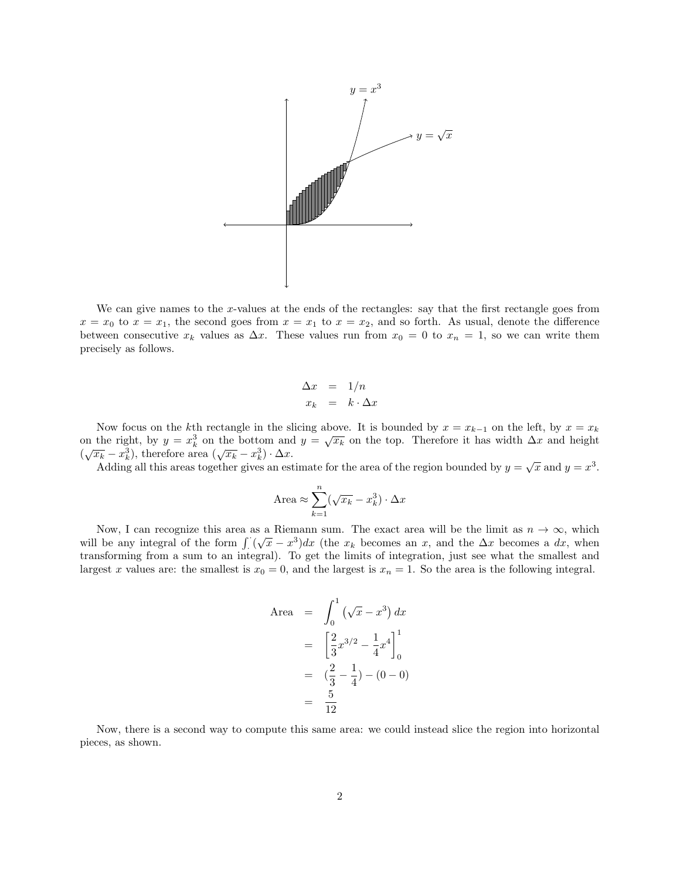

We can give names to the x-values at the ends of the rectangles: say that the first rectangle goes from  $x = x_0$  to  $x = x_1$ , the second goes from  $x = x_1$  to  $x = x_2$ , and so forth. As usual, denote the difference between consecutive  $x_k$  values as  $\Delta x$ . These values run from  $x_0 = 0$  to  $x_n = 1$ , so we can write them precisely as follows.

$$
\begin{array}{rcl}\n\Delta x & = & 1/n \\
x_k & = & k \cdot \Delta x\n\end{array}
$$

Now focus on the kth rectangle in the slicing above. It is bounded by  $x = x_{k-1}$  on the left, by  $x = x_k$ on the right, by  $y = x_k^3$  on the bottom and  $y = \sqrt{x_k}$  on the top. Therefore it has width  $\Delta x$  and height on the right, by  $y = x_k$  on the bottom and<br>  $(\sqrt{x_k} - x_k^3)$ , therefore area  $(\sqrt{x_k} - x_k^3) \cdot \Delta x$ .

 $\alpha_k - x_k$ , therefore area  $(\sqrt{x_k} - x_k) \cdot \Delta x$ .<br>Adding all this areas together gives an estimate for the area of the region bounded by  $y = \sqrt{x}$  and  $y = x^3$ .

$$
Area \approx \sum_{k=1}^{n} (\sqrt{x_k} - x_k^3) \cdot \Delta x
$$

Now, I can recognize this area as a Riemann sum. The exact area will be the limit as  $n \to \infty$ , which will be any integral of the form  $\int ( \sqrt{x} - x^3) dx$  (the  $x_k$  becomes an x, and the  $\Delta x$  becomes a dx, when transforming from a sum to an integral). To get the limits of integration, just see what the smallest and largest x values are: the smallest is  $x_0 = 0$ , and the largest is  $x_n = 1$ . So the area is the following integral.

Area 
$$
= \int_0^1 (\sqrt{x} - x^3) dx
$$

$$
= \left[\frac{2}{3}x^{3/2} - \frac{1}{4}x^4\right]_0^1
$$

$$
= \left(\frac{2}{3} - \frac{1}{4}\right) - (0 - 0)
$$

$$
= \frac{5}{12}
$$

Now, there is a second way to compute this same area: we could instead slice the region into horizontal pieces, as shown.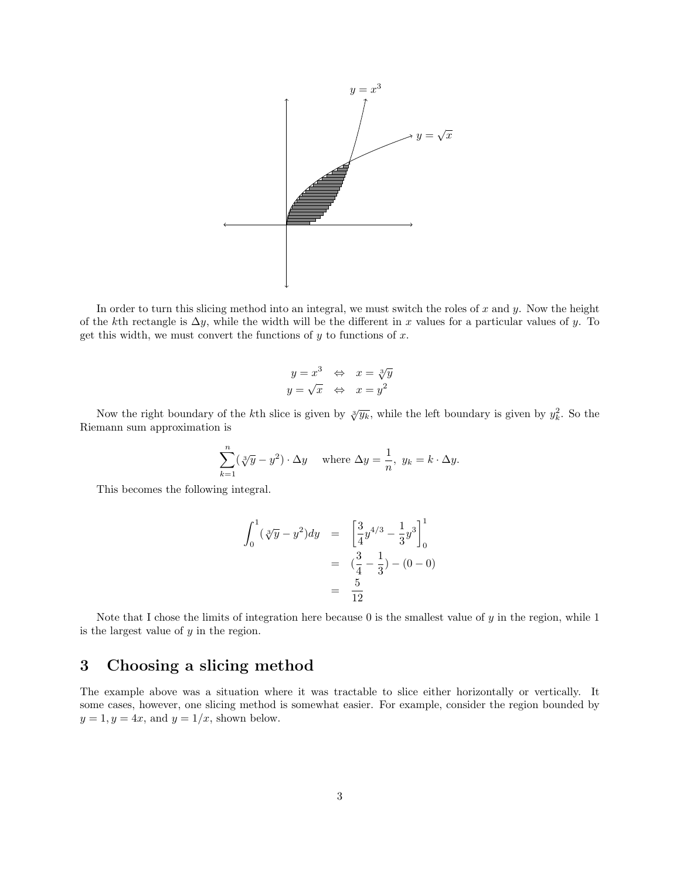

In order to turn this slicing method into an integral, we must switch the roles of  $x$  and  $y$ . Now the height of the kth rectangle is  $\Delta y$ , while the width will be the different in x values for a particular values of y. To get this width, we must convert the functions of  $y$  to functions of  $x$ .

$$
y = x^3 \Leftrightarrow x = \sqrt[3]{y}
$$
  

$$
y = \sqrt{x} \Leftrightarrow x = y^2
$$

Now the right boundary of the kth slice is given by  $\sqrt[3]{y_k}$ , while the left boundary is given by  $y_k^2$ . So the Riemann sum approximation is

$$
\sum_{k=1}^{n} (\sqrt[3]{y} - y^2) \cdot \Delta y \quad \text{where } \Delta y = \frac{1}{n}, \ y_k = k \cdot \Delta y.
$$

This becomes the following integral.

$$
\int_0^1 (\sqrt[3]{y} - y^2) dy = \left[ \frac{3}{4} y^{4/3} - \frac{1}{3} y^3 \right]_0^1
$$
  
=  $\left( \frac{3}{4} - \frac{1}{3} \right) - (0 - 0)$   
=  $\frac{5}{12}$ 

Note that I chose the limits of integration here because  $0$  is the smallest value of  $y$  in the region, while 1 is the largest value of y in the region.

## 3 Choosing a slicing method

The example above was a situation where it was tractable to slice either horizontally or vertically. It some cases, however, one slicing method is somewhat easier. For example, consider the region bounded by  $y = 1, y = 4x$ , and  $y = 1/x$ , shown below.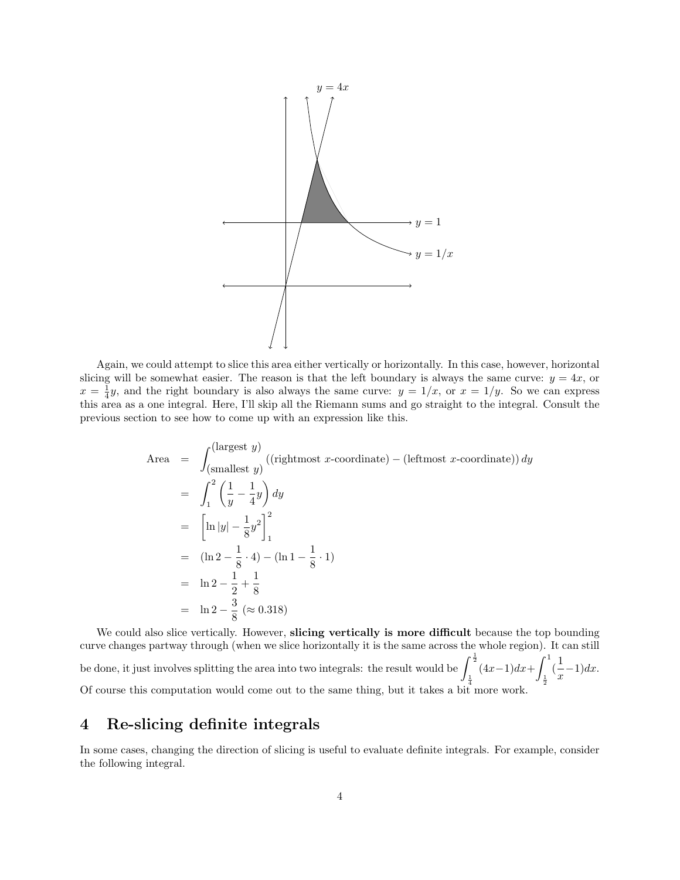

Again, we could attempt to slice this area either vertically or horizontally. In this case, however, horizontal slicing will be somewhat easier. The reason is that the left boundary is always the same curve:  $y = 4x$ , or  $x = \frac{1}{4}y$ , and the right boundary is also always the same curve:  $y = 1/x$ , or  $x = 1/y$ . So we can express this area as a one integral. Here, I'll skip all the Riemann sums and go straight to the integral. Consult the previous section to see how to come up with an expression like this.

Area = 
$$
\int_{\text{(smallest } y)}^{\text{(largest } y)} ((\text{rightmost } x\text{-coordinate}) - (\text{leftmost } x\text{-coordinate})) \, dy
$$
  
\n= 
$$
\int_{1}^{2} \left(\frac{1}{y} - \frac{1}{4}y\right) dy
$$
  
\n= 
$$
\left[\ln|y| - \frac{1}{8}y^2\right]_{1}^{2}
$$
  
\n= 
$$
(\ln 2 - \frac{1}{8} \cdot 4) - (\ln 1 - \frac{1}{8} \cdot 1)
$$
  
\n= 
$$
\ln 2 - \frac{1}{2} + \frac{1}{8}
$$
  
\n= 
$$
\ln 2 - \frac{3}{8} \approx 0.318
$$

We could also slice vertically. However, slicing vertically is more difficult because the top bounding curve changes partway through (when we slice horizontally it is the same across the whole region). It can still be done, it just involves splitting the area into two integrals: the result would be  $\int^{\frac{1}{2}}$  $\frac{1}{4}$  $(4x-1)dx + \int_0^1$  $\frac{1}{2}$  $\left(\frac{1}{2}\right)$  $\frac{1}{x}$ -1)dx. Of course this computation would come out to the same thing, but it takes a bit more work.

#### 4 Re-slicing definite integrals

In some cases, changing the direction of slicing is useful to evaluate definite integrals. For example, consider the following integral.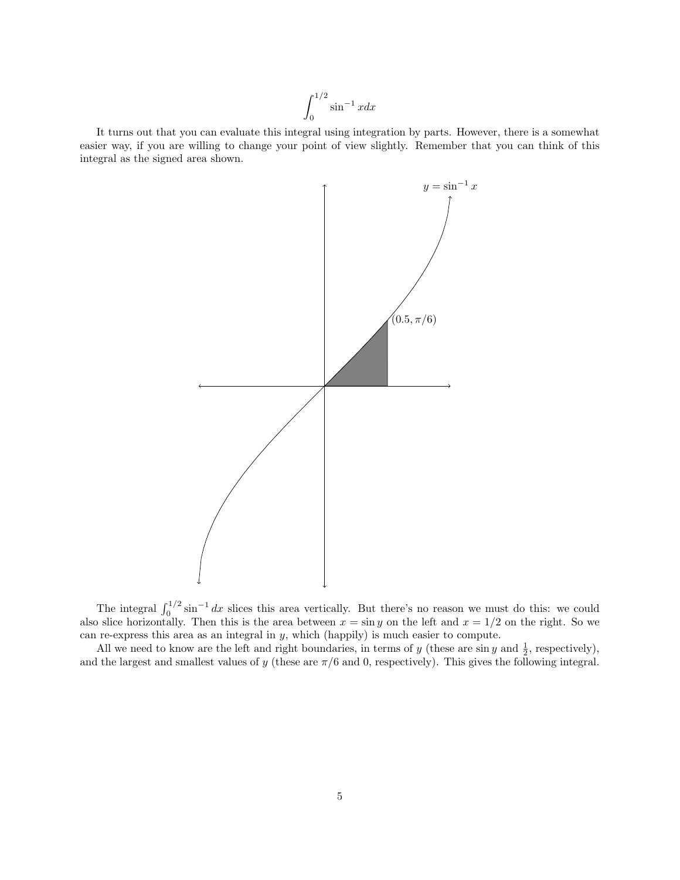$$
\int_0^{1/2} \sin^{-1} x dx
$$

It turns out that you can evaluate this integral using integration by parts. However, there is a somewhat easier way, if you are willing to change your point of view slightly. Remember that you can think of this integral as the signed area shown.



The integral  $\int_0^{1/2} \sin^{-1} dx$  slices this area vertically. But there's no reason we must do this: we could also slice horizontally. Then this is the area between  $x = \sin y$  on the left and  $x = 1/2$  on the right. So we can re-express this area as an integral in y, which (happily) is much easier to compute.

All we need to know are the left and right boundaries, in terms of y (these are sin y and  $\frac{1}{2}$ , respectively), and the largest and smallest values of y (these are  $\pi/6$  and 0, respectively). This gives the following integral.